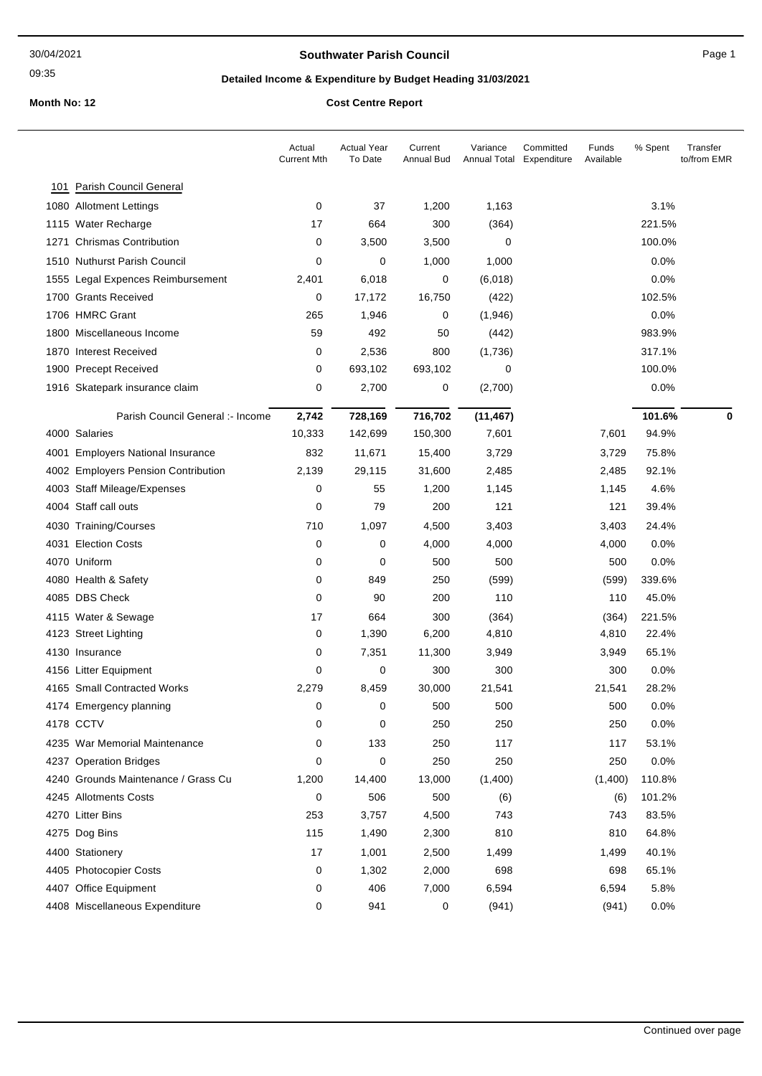#### **Southwater Parish Council Council Page 1**

09:35

# **Detailed Income & Expenditure by Budget Heading 31/03/2021**

|                                     | Actual<br><b>Current Mth</b> | <b>Actual Year</b><br>To Date | Current<br>Annual Bud | Variance<br>Annual Total Expenditure | Committed<br>Funds<br>Available | % Spent | Transfer<br>to/from EMR |
|-------------------------------------|------------------------------|-------------------------------|-----------------------|--------------------------------------|---------------------------------|---------|-------------------------|
| 101 Parish Council General          |                              |                               |                       |                                      |                                 |         |                         |
| 1080 Allotment Lettings             | 0                            | 37                            | 1,200                 | 1,163                                |                                 | 3.1%    |                         |
| 1115 Water Recharge                 | 17                           | 664                           | 300                   | (364)                                |                                 | 221.5%  |                         |
| 1271 Chrismas Contribution          | 0                            | 3,500                         | 3,500                 | 0                                    |                                 | 100.0%  |                         |
| 1510 Nuthurst Parish Council        | 0                            | 0                             | 1,000                 | 1,000                                |                                 | 0.0%    |                         |
| 1555 Legal Expences Reimbursement   | 2,401                        | 6,018                         | $\mathbf 0$           | (6,018)                              |                                 | 0.0%    |                         |
| 1700 Grants Received                | 0                            | 17,172                        | 16,750                | (422)                                |                                 | 102.5%  |                         |
| 1706 HMRC Grant                     | 265                          | 1,946                         | 0                     | (1,946)                              |                                 | 0.0%    |                         |
| 1800 Miscellaneous Income           | 59                           | 492                           | 50                    | (442)                                |                                 | 983.9%  |                         |
| 1870 Interest Received              | 0                            | 2,536                         | 800                   | (1,736)                              |                                 | 317.1%  |                         |
| 1900 Precept Received               | 0                            | 693,102                       | 693,102               | 0                                    |                                 | 100.0%  |                         |
| 1916 Skatepark insurance claim      | 0                            | 2,700                         | 0                     | (2,700)                              |                                 | 0.0%    |                         |
| Parish Council General :- Income    | 2,742                        | 728,169                       | 716,702               | (11, 467)                            |                                 | 101.6%  | 0                       |
| 4000 Salaries                       | 10,333                       | 142,699                       | 150,300               | 7,601                                | 7,601                           | 94.9%   |                         |
| 4001 Employers National Insurance   | 832                          | 11,671                        | 15,400                | 3,729                                | 3,729                           | 75.8%   |                         |
| 4002 Employers Pension Contribution | 2,139                        | 29,115                        | 31,600                | 2,485                                | 2,485                           | 92.1%   |                         |
| 4003 Staff Mileage/Expenses         | 0                            | 55                            | 1,200                 | 1,145                                | 1,145                           | 4.6%    |                         |
| 4004 Staff call outs                | 0                            | 79                            | 200                   | 121                                  | 121                             | 39.4%   |                         |
| 4030 Training/Courses               | 710                          | 1,097                         | 4,500                 | 3,403                                | 3,403                           | 24.4%   |                         |
| 4031 Election Costs                 | 0                            | 0                             | 4,000                 | 4,000                                | 4,000                           | 0.0%    |                         |
| 4070 Uniform                        | 0                            | 0                             | 500                   | 500                                  | 500                             | 0.0%    |                         |
| 4080 Health & Safety                | 0                            | 849                           | 250                   | (599)                                | (599)                           | 339.6%  |                         |
| 4085 DBS Check                      | 0                            | 90                            | 200                   | 110                                  | 110                             | 45.0%   |                         |
| 4115 Water & Sewage                 | 17                           | 664                           | 300                   | (364)                                | (364)                           | 221.5%  |                         |
| 4123 Street Lighting                | 0                            | 1,390                         | 6,200                 | 4,810                                | 4,810                           | 22.4%   |                         |
| 4130 Insurance                      | 0                            | 7,351                         | 11,300                | 3,949                                | 3,949                           | 65.1%   |                         |
| 4156 Litter Equipment               | 0                            | 0                             | 300                   | 300                                  | 300                             | 0.0%    |                         |
| 4165 Small Contracted Works         | 2,279                        | 8,459                         | 30,000                | 21,541                               | 21,541                          | 28.2%   |                         |
| 4174 Emergency planning             | 0                            | 0                             | 500                   | 500                                  | 500                             | 0.0%    |                         |
| 4178 CCTV                           | 0                            | 0                             | 250                   | 250                                  | 250                             | 0.0%    |                         |
| 4235 War Memorial Maintenance       | 0                            | 133                           | 250                   | 117                                  | 117                             | 53.1%   |                         |
| 4237 Operation Bridges              | 0                            | 0                             | 250                   | 250                                  | 250                             | 0.0%    |                         |
| 4240 Grounds Maintenance / Grass Cu | 1,200                        | 14,400                        | 13,000                | (1,400)                              | (1,400)                         | 110.8%  |                         |
| 4245 Allotments Costs               | 0                            | 506                           | 500                   | (6)                                  | (6)                             | 101.2%  |                         |
| 4270 Litter Bins                    | 253                          | 3,757                         | 4,500                 | 743                                  | 743                             | 83.5%   |                         |
| 4275 Dog Bins                       | 115                          | 1,490                         | 2,300                 | 810                                  | 810                             | 64.8%   |                         |
| 4400 Stationery                     | 17                           | 1,001                         | 2,500                 | 1,499                                | 1,499                           | 40.1%   |                         |
| 4405 Photocopier Costs              | 0                            | 1,302                         | 2,000                 | 698                                  | 698                             | 65.1%   |                         |
| 4407 Office Equipment               | 0                            | 406                           | 7,000                 | 6,594                                | 6,594                           | 5.8%    |                         |
| 4408 Miscellaneous Expenditure      | 0                            | 941                           | 0                     | (941)                                | (941)                           | 0.0%    |                         |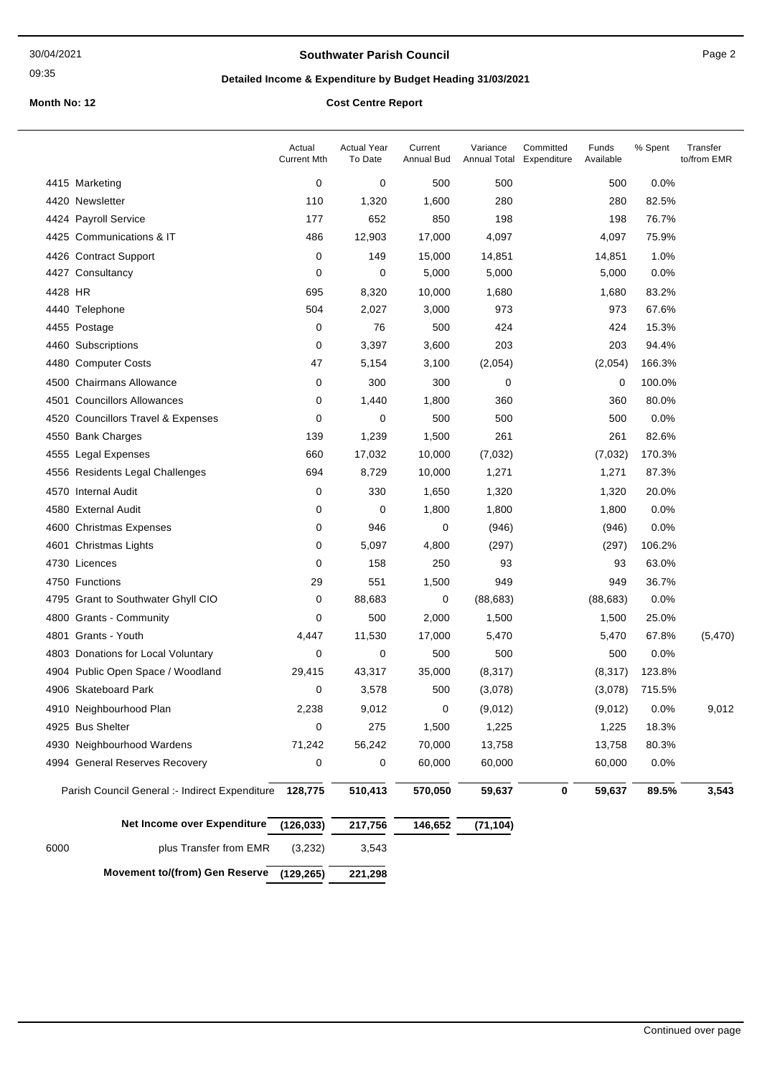09:35

#### **Southwater Parish Council Council** Page 2

# **Detailed Income & Expenditure by Budget Heading 31/03/2021**

|         |                                                        | Actual<br><b>Current Mth</b> | <b>Actual Year</b><br>To Date | Current<br><b>Annual Bud</b> | Variance<br><b>Annual Total</b> | Committed<br>Expenditure | Funds<br>Available | % Spent | Transfer<br>to/from EMR |
|---------|--------------------------------------------------------|------------------------------|-------------------------------|------------------------------|---------------------------------|--------------------------|--------------------|---------|-------------------------|
|         | 4415 Marketing                                         | 0                            | 0                             | 500                          | 500                             |                          | 500                | 0.0%    |                         |
|         | 4420 Newsletter                                        | 110                          | 1,320                         | 1,600                        | 280                             |                          | 280                | 82.5%   |                         |
|         | 4424 Payroll Service                                   | 177                          | 652                           | 850                          | 198                             |                          | 198                | 76.7%   |                         |
|         | 4425 Communications & IT                               | 486                          | 12,903                        | 17,000                       | 4,097                           |                          | 4,097              | 75.9%   |                         |
|         | 4426 Contract Support                                  | 0                            | 149                           | 15,000                       | 14,851                          |                          | 14,851             | 1.0%    |                         |
|         | 4427 Consultancy                                       | 0                            | 0                             | 5,000                        | 5,000                           |                          | 5,000              | 0.0%    |                         |
| 4428 HR |                                                        | 695                          | 8,320                         | 10,000                       | 1,680                           |                          | 1,680              | 83.2%   |                         |
|         | 4440 Telephone                                         | 504                          | 2,027                         | 3,000                        | 973                             |                          | 973                | 67.6%   |                         |
|         | 4455 Postage                                           | 0                            | 76                            | 500                          | 424                             |                          | 424                | 15.3%   |                         |
|         | 4460 Subscriptions                                     | 0                            | 3,397                         | 3,600                        | 203                             |                          | 203                | 94.4%   |                         |
|         | 4480 Computer Costs                                    | 47                           | 5,154                         | 3,100                        | (2,054)                         |                          | (2,054)            | 166.3%  |                         |
|         | 4500 Chairmans Allowance                               | 0                            | 300                           | 300                          | 0                               |                          | 0                  | 100.0%  |                         |
| 4501    | <b>Councillors Allowances</b>                          | 0                            | 1,440                         | 1,800                        | 360                             |                          | 360                | 80.0%   |                         |
|         | 4520 Councillors Travel & Expenses                     | 0                            | 0                             | 500                          | 500                             |                          | 500                | 0.0%    |                         |
|         | 4550 Bank Charges                                      | 139                          | 1,239                         | 1,500                        | 261                             |                          | 261                | 82.6%   |                         |
|         | 4555 Legal Expenses                                    | 660                          | 17,032                        | 10,000                       | (7,032)                         |                          | (7,032)            | 170.3%  |                         |
|         | 4556 Residents Legal Challenges                        | 694                          | 8,729                         | 10,000                       | 1,271                           |                          | 1,271              | 87.3%   |                         |
|         | 4570 Internal Audit                                    | 0                            | 330                           | 1,650                        | 1,320                           |                          | 1,320              | 20.0%   |                         |
|         | 4580 External Audit                                    | 0                            | 0                             | 1,800                        | 1,800                           |                          | 1,800              | 0.0%    |                         |
|         | 4600 Christmas Expenses                                | 0                            | 946                           | 0                            | (946)                           |                          | (946)              | 0.0%    |                         |
|         | 4601 Christmas Lights                                  | 0                            | 5,097                         | 4,800                        | (297)                           |                          | (297)              | 106.2%  |                         |
|         | 4730 Licences                                          | 0                            | 158                           | 250                          | 93                              |                          | 93                 | 63.0%   |                         |
|         | 4750 Functions                                         | 29                           | 551                           | 1,500                        | 949                             |                          | 949                | 36.7%   |                         |
|         | 4795 Grant to Southwater Ghyll CIO                     | 0                            | 88,683                        | 0                            | (88, 683)                       |                          | (88, 683)          | 0.0%    |                         |
|         | 4800 Grants - Community                                | 0                            | 500                           | 2,000                        | 1,500                           |                          | 1,500              | 25.0%   |                         |
|         | 4801 Grants - Youth                                    | 4,447                        | 11,530                        | 17,000                       | 5,470                           |                          | 5,470              | 67.8%   | (5,470)                 |
|         | 4803 Donations for Local Voluntary                     | 0                            | 0                             | 500                          | 500                             |                          | 500                | 0.0%    |                         |
|         | 4904 Public Open Space / Woodland                      | 29,415                       | 43,317                        | 35,000                       | (8, 317)                        |                          | (8,317)            | 123.8%  |                         |
|         | 4906 Skateboard Park                                   | 0                            | 3,578                         | 500                          | (3,078)                         |                          | (3,078)            | 715.5%  |                         |
|         | 4910 Neighbourhood Plan                                | 2,238                        | 9,012                         | 0                            | (9,012)                         |                          | (9,012)            | 0.0%    | 9,012                   |
|         | 4925 Bus Shelter                                       | 0                            | 275                           | 1,500                        | 1,225                           |                          | 1,225              | 18.3%   |                         |
|         | 4930 Neighbourhood Wardens                             | 71,242                       | 56,242                        | 70,000                       | 13,758                          |                          | 13,758             | 80.3%   |                         |
|         | 4994 General Reserves Recovery                         | 0                            | 0                             | 60,000                       | 60,000                          |                          | 60,000             | 0.0%    |                         |
|         | Parish Council General :- Indirect Expenditure 128,775 |                              | 510,413                       | 570,050                      | 59,637                          | 0                        | 59,637             | 89.5%   | 3,543                   |
|         | Net Income over Expenditure                            | (126, 033)                   | 217,756                       | 146,652                      | (71, 104)                       |                          |                    |         |                         |
| 6000    | plus Transfer from EMR                                 | (3,232)                      | 3,543                         |                              |                                 |                          |                    |         |                         |
|         | <b>Movement to/(from) Gen Reserve</b>                  | (129, 265)                   | 221,298                       |                              |                                 |                          |                    |         |                         |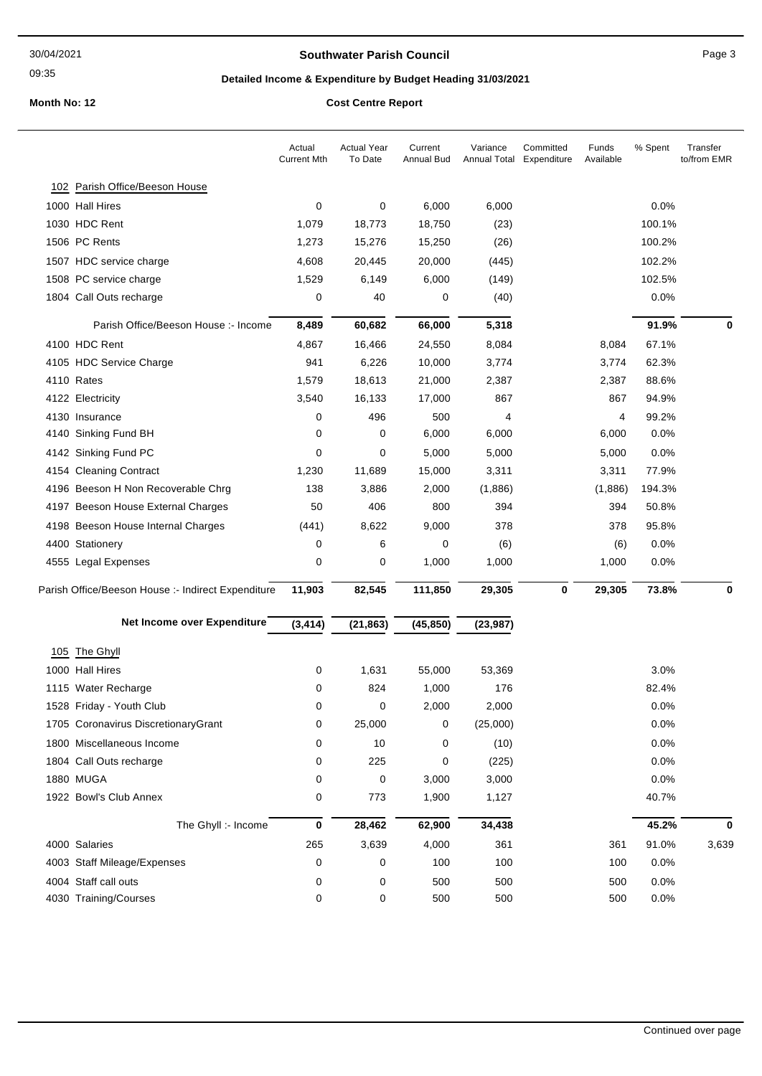09:35

#### **Southwater Parish Council Council Page 3**

# **Detailed Income & Expenditure by Budget Heading 31/03/2021**

|                                                    | Actual<br><b>Current Mth</b> | <b>Actual Year</b><br>To Date | Current<br><b>Annual Bud</b> | Variance<br><b>Annual Total</b> | Committed<br>Expenditure | Funds<br>Available | % Spent | Transfer<br>to/from EMR |
|----------------------------------------------------|------------------------------|-------------------------------|------------------------------|---------------------------------|--------------------------|--------------------|---------|-------------------------|
| 102 Parish Office/Beeson House                     |                              |                               |                              |                                 |                          |                    |         |                         |
| 1000 Hall Hires                                    | 0                            | 0                             | 6,000                        | 6,000                           |                          |                    | 0.0%    |                         |
| 1030 HDC Rent                                      | 1,079                        | 18,773                        | 18,750                       | (23)                            |                          |                    | 100.1%  |                         |
| 1506 PC Rents                                      | 1,273                        | 15,276                        | 15,250                       | (26)                            |                          |                    | 100.2%  |                         |
| 1507 HDC service charge                            | 4,608                        | 20,445                        | 20,000                       | (445)                           |                          |                    | 102.2%  |                         |
| 1508 PC service charge                             | 1,529                        | 6,149                         | 6,000                        | (149)                           |                          |                    | 102.5%  |                         |
| 1804 Call Outs recharge                            | 0                            | 40                            | 0                            | (40)                            |                          |                    | 0.0%    |                         |
| Parish Office/Beeson House :- Income               | 8,489                        | 60,682                        | 66,000                       | 5,318                           |                          |                    | 91.9%   | 0                       |
| 4100 HDC Rent                                      | 4,867                        | 16,466                        | 24,550                       | 8,084                           |                          | 8,084              | 67.1%   |                         |
| 4105 HDC Service Charge                            | 941                          | 6,226                         | 10,000                       | 3,774                           |                          | 3,774              | 62.3%   |                         |
| 4110 Rates                                         | 1,579                        | 18,613                        | 21,000                       | 2,387                           |                          | 2,387              | 88.6%   |                         |
| 4122 Electricity                                   | 3,540                        | 16,133                        | 17,000                       | 867                             |                          | 867                | 94.9%   |                         |
| 4130 Insurance                                     | 0                            | 496                           | 500                          | 4                               |                          | 4                  | 99.2%   |                         |
| 4140 Sinking Fund BH                               | 0                            | 0                             | 6,000                        | 6,000                           |                          | 6,000              | 0.0%    |                         |
| 4142 Sinking Fund PC                               | 0                            | 0                             | 5,000                        | 5,000                           |                          | 5,000              | 0.0%    |                         |
| 4154 Cleaning Contract                             | 1,230                        | 11,689                        | 15,000                       | 3,311                           |                          | 3,311              | 77.9%   |                         |
| 4196 Beeson H Non Recoverable Chrg                 | 138                          | 3,886                         | 2,000                        | (1,886)                         |                          | (1,886)            | 194.3%  |                         |
| 4197 Beeson House External Charges                 | 50                           | 406                           | 800                          | 394                             |                          | 394                | 50.8%   |                         |
| 4198 Beeson House Internal Charges                 | (441)                        | 8,622                         | 9,000                        | 378                             |                          | 378                | 95.8%   |                         |
| 4400 Stationery                                    | 0                            | 6                             | 0                            | (6)                             |                          | (6)                | 0.0%    |                         |
| 4555 Legal Expenses                                | 0                            | 0                             | 1,000                        | 1,000                           |                          | 1,000              | 0.0%    |                         |
| Parish Office/Beeson House :- Indirect Expenditure | 11,903                       | 82,545                        | 111,850                      | 29,305                          | $\bf{0}$                 | 29,305             | 73.8%   | $\bf{0}$                |
| Net Income over Expenditure                        | (3, 414)                     | (21, 863)                     | (45, 850)                    | (23, 987)                       |                          |                    |         |                         |
| 105 The Ghyll                                      |                              |                               |                              |                                 |                          |                    |         |                         |
| 1000 Hall Hires                                    | 0                            | 1,631                         | 55,000                       | 53,369                          |                          |                    | 3.0%    |                         |
| 1115 Water Recharge                                | 0                            | 824                           | 1,000                        | 176                             |                          |                    | 82.4%   |                         |
| 1528 Friday - Youth Club                           | 0                            | 0                             | 2,000                        | 2,000                           |                          |                    | 0.0%    |                         |
| 1705 Coronavirus DiscretionaryGrant                | 0                            | 25,000                        | 0                            | (25,000)                        |                          |                    | 0.0%    |                         |
| 1800 Miscellaneous Income                          | 0                            | 10                            | 0                            | (10)                            |                          |                    | 0.0%    |                         |
| 1804 Call Outs recharge                            | 0                            | 225                           | 0                            | (225)                           |                          |                    | 0.0%    |                         |
| 1880 MUGA                                          | 0                            | 0                             | 3,000                        | 3,000                           |                          |                    | 0.0%    |                         |
| 1922 Bowl's Club Annex                             | 0                            | 773                           | 1,900                        | 1,127                           |                          |                    | 40.7%   |                         |
| The Ghyll :- Income                                | $\pmb{0}$                    | 28,462                        | 62,900                       | 34,438                          |                          |                    | 45.2%   | 0                       |
| 4000 Salaries                                      | 265                          | 3,639                         | 4,000                        | 361                             |                          | 361                | 91.0%   | 3,639                   |
| 4003 Staff Mileage/Expenses                        | 0                            | 0                             | 100                          | 100                             |                          | 100                | 0.0%    |                         |
| 4004 Staff call outs                               | 0                            | 0                             | 500                          | 500                             |                          | 500                | 0.0%    |                         |
| 4030 Training/Courses                              | 0                            | 0                             | 500                          | 500                             |                          | 500                | 0.0%    |                         |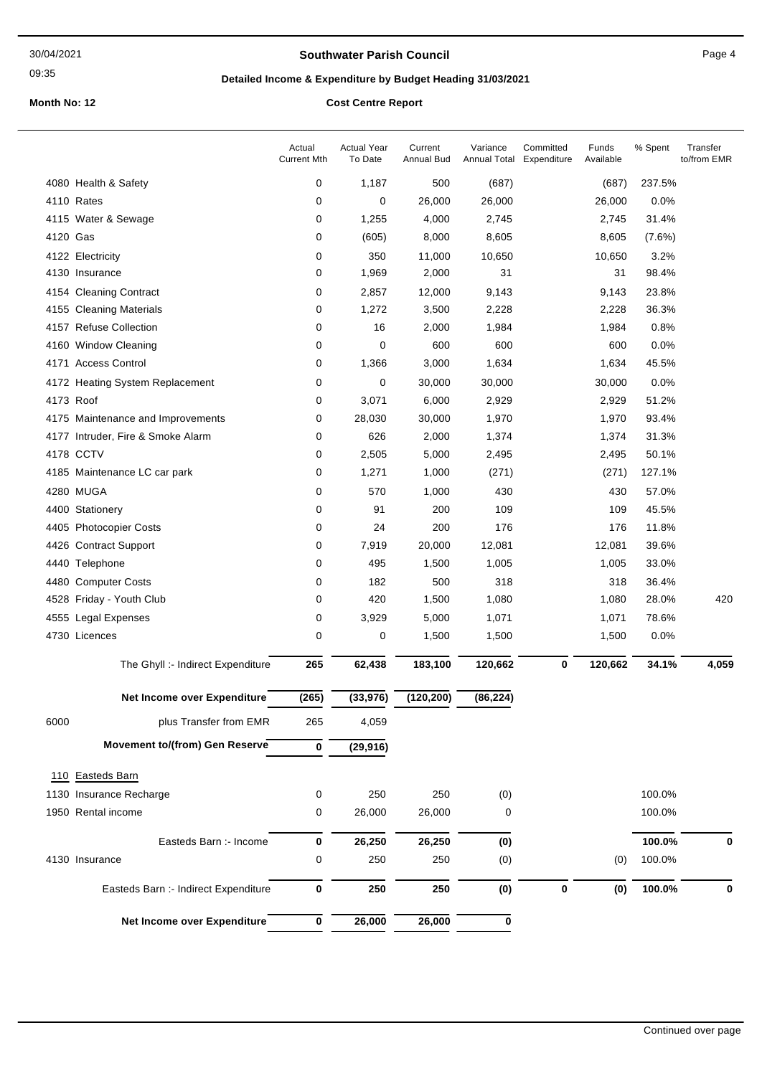09:35

#### **Southwater Parish Council Council** Page 4

# **Detailed Income & Expenditure by Budget Heading 31/03/2021**

|          |                                       | Actual<br><b>Current Mth</b> | <b>Actual Year</b><br>To Date | Current<br>Annual Bud | Variance<br>Annual Total | Committed<br>Expenditure | Funds<br>Available | % Spent | Transfer<br>to/from EMR |
|----------|---------------------------------------|------------------------------|-------------------------------|-----------------------|--------------------------|--------------------------|--------------------|---------|-------------------------|
|          | 4080 Health & Safety                  | 0                            | 1,187                         | 500                   | (687)                    |                          | (687)              | 237.5%  |                         |
|          | 4110 Rates                            | 0                            | 0                             | 26,000                | 26,000                   |                          | 26,000             | 0.0%    |                         |
|          | 4115 Water & Sewage                   | 0                            | 1,255                         | 4,000                 | 2,745                    |                          | 2,745              | 31.4%   |                         |
| 4120 Gas |                                       | 0                            | (605)                         | 8,000                 | 8,605                    |                          | 8,605              | (7.6%)  |                         |
|          | 4122 Electricity                      | 0                            | 350                           | 11,000                | 10,650                   |                          | 10,650             | 3.2%    |                         |
|          | 4130 Insurance                        | 0                            | 1,969                         | 2,000                 | 31                       |                          | 31                 | 98.4%   |                         |
|          | 4154 Cleaning Contract                | 0                            | 2,857                         | 12,000                | 9,143                    |                          | 9,143              | 23.8%   |                         |
|          | 4155 Cleaning Materials               | 0                            | 1,272                         | 3,500                 | 2,228                    |                          | 2,228              | 36.3%   |                         |
|          | 4157 Refuse Collection                | 0                            | 16                            | 2,000                 | 1,984                    |                          | 1,984              | 0.8%    |                         |
|          | 4160 Window Cleaning                  | 0                            | 0                             | 600                   | 600                      |                          | 600                | 0.0%    |                         |
|          | 4171 Access Control                   | 0                            | 1,366                         | 3,000                 | 1,634                    |                          | 1,634              | 45.5%   |                         |
|          | 4172 Heating System Replacement       | 0                            | 0                             | 30,000                | 30,000                   |                          | 30,000             | 0.0%    |                         |
|          | 4173 Roof                             | 0                            | 3,071                         | 6,000                 | 2,929                    |                          | 2,929              | 51.2%   |                         |
|          | 4175 Maintenance and Improvements     | 0                            | 28,030                        | 30,000                | 1,970                    |                          | 1,970              | 93.4%   |                         |
|          | 4177 Intruder, Fire & Smoke Alarm     | 0                            | 626                           | 2,000                 | 1,374                    |                          | 1,374              | 31.3%   |                         |
|          | 4178 CCTV                             | 0                            | 2,505                         | 5,000                 | 2,495                    |                          | 2,495              | 50.1%   |                         |
|          | 4185 Maintenance LC car park          | 0                            | 1,271                         | 1,000                 | (271)                    |                          | (271)              | 127.1%  |                         |
|          | 4280 MUGA                             | 0                            | 570                           | 1,000                 | 430                      |                          | 430                | 57.0%   |                         |
|          | 4400 Stationery                       | 0                            | 91                            | 200                   | 109                      |                          | 109                | 45.5%   |                         |
|          | 4405 Photocopier Costs                | 0                            | 24                            | 200                   | 176                      |                          | 176                | 11.8%   |                         |
|          | 4426 Contract Support                 | 0                            | 7,919                         | 20,000                | 12,081                   |                          | 12,081             | 39.6%   |                         |
|          | 4440 Telephone                        | 0                            | 495                           | 1,500                 | 1,005                    |                          | 1,005              | 33.0%   |                         |
|          | 4480 Computer Costs                   | 0                            | 182                           | 500                   | 318                      |                          | 318                | 36.4%   |                         |
|          | 4528 Friday - Youth Club              | 0                            | 420                           | 1,500                 | 1,080                    |                          | 1,080              | 28.0%   | 420                     |
|          | 4555 Legal Expenses                   | 0                            | 3,929                         | 5,000                 | 1,071                    |                          | 1,071              | 78.6%   |                         |
|          | 4730 Licences                         | 0                            | 0                             | 1,500                 | 1,500                    |                          | 1,500              | 0.0%    |                         |
|          | The Ghyll :- Indirect Expenditure     | 265                          | 62,438                        | 183,100               | 120,662                  | 0                        | 120,662            | 34.1%   | 4,059                   |
|          | Net Income over Expenditure           | (265)                        | (33, 976)                     | (120, 200)            | (86, 224)                |                          |                    |         |                         |
| 6000     | plus Transfer from EMR                | 265                          | 4,059                         |                       |                          |                          |                    |         |                         |
|          | <b>Movement to/(from) Gen Reserve</b> | 0                            | (29, 916)                     |                       |                          |                          |                    |         |                         |
|          | 110 Easteds Barn                      |                              |                               |                       |                          |                          |                    |         |                         |
|          | 1130 Insurance Recharge               | 0                            | 250                           | 250                   |                          |                          |                    | 100.0%  |                         |
|          |                                       |                              | 26,000                        |                       | (0)                      |                          |                    |         |                         |
|          | 1950 Rental income                    | 0                            |                               | 26,000                | 0                        |                          |                    | 100.0%  |                         |
|          | Easteds Barn :- Income                | 0                            | 26,250                        | 26,250                | (0)                      |                          |                    | 100.0%  | 0                       |
|          | 4130 Insurance                        | 0                            | 250                           | 250                   | (0)                      |                          | (0)                | 100.0%  |                         |
|          | Easteds Barn :- Indirect Expenditure  | 0                            | 250                           | 250                   | (0)                      | $\mathbf 0$              | (0)                | 100.0%  | $\bf{0}$                |
|          | Net Income over Expenditure           | 0                            | 26,000                        | 26,000                | 0                        |                          |                    |         |                         |
|          |                                       |                              |                               |                       |                          |                          |                    |         |                         |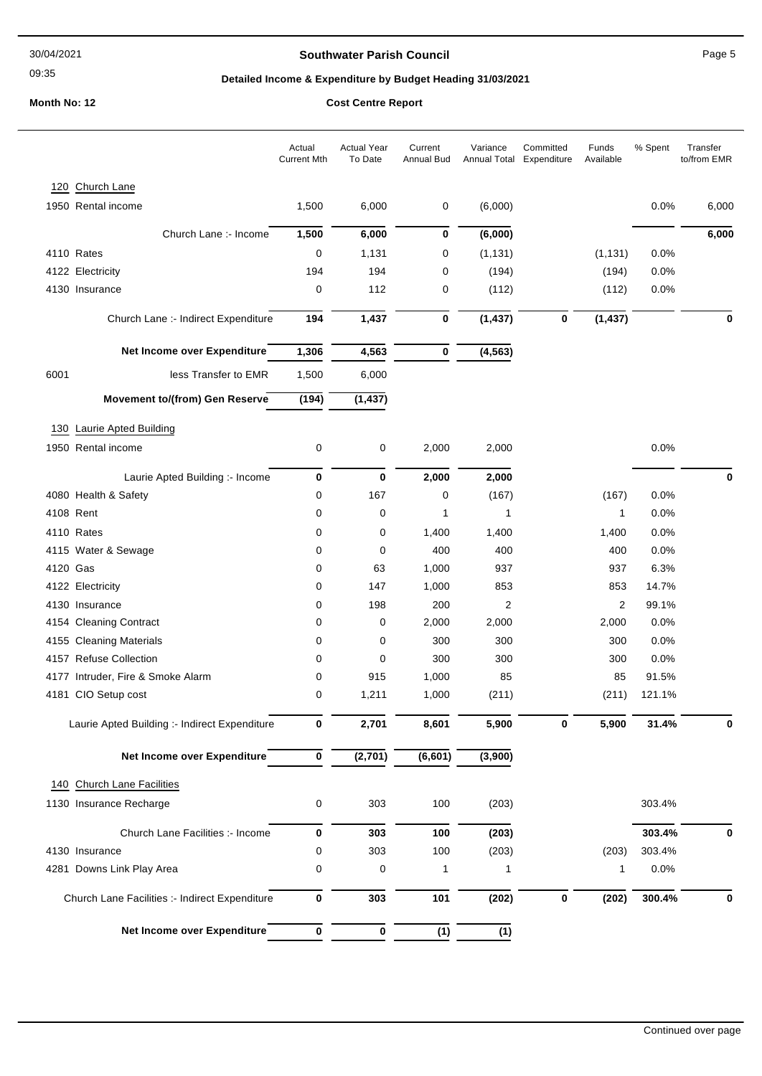30/04/2021

#### 09:35

#### **Southwater Parish Council COUNCIL COUNTER SOUTH AND RANGE TO PAGE 5**

# **Detailed Income & Expenditure by Budget Heading 31/03/2021**

|          |                                                | Actual<br><b>Current Mth</b> | <b>Actual Year</b><br>To Date | Current<br><b>Annual Bud</b> | Variance          | Committed<br>Annual Total Expenditure | Funds<br>Available | % Spent      | Transfer<br>to/from EMR |
|----------|------------------------------------------------|------------------------------|-------------------------------|------------------------------|-------------------|---------------------------------------|--------------------|--------------|-------------------------|
| 120      | Church Lane                                    |                              |                               |                              |                   |                                       |                    |              |                         |
|          | 1950 Rental income                             | 1,500                        | 6,000                         | 0                            | (6,000)           |                                       |                    | 0.0%         | 6,000                   |
|          | Church Lane :- Income                          |                              |                               |                              |                   |                                       |                    |              |                         |
|          | 4110 Rates                                     | 1,500<br>$\mathbf 0$         | 6,000                         | 0                            | (6,000)           |                                       |                    |              | 6,000                   |
|          | 4122 Electricity                               | 194                          | 1,131<br>194                  | 0<br>0                       | (1, 131)<br>(194) |                                       | (1, 131)<br>(194)  | 0.0%<br>0.0% |                         |
|          | 4130 Insurance                                 | $\mathbf 0$                  | 112                           | 0                            | (112)             |                                       | (112)              | 0.0%         |                         |
|          |                                                |                              |                               |                              |                   |                                       |                    |              |                         |
|          | Church Lane :- Indirect Expenditure            | 194                          | 1,437                         | 0                            | (1, 437)          | $\bf{0}$                              | (1, 437)           |              | $\bf{0}$                |
|          | Net Income over Expenditure                    | 1,306                        | 4,563                         | 0                            | (4, 563)          |                                       |                    |              |                         |
| 6001     | less Transfer to EMR                           | 1,500                        | 6,000                         |                              |                   |                                       |                    |              |                         |
|          | Movement to/(from) Gen Reserve                 | (194)                        | (1, 437)                      |                              |                   |                                       |                    |              |                         |
|          | 130 Laurie Apted Building                      |                              |                               |                              |                   |                                       |                    |              |                         |
|          | 1950 Rental income                             | 0                            | 0                             | 2,000                        | 2,000             |                                       |                    | 0.0%         |                         |
|          | Laurie Apted Building :- Income                | 0                            | 0                             | 2,000                        | 2,000             |                                       |                    |              | $\bf{0}$                |
|          | 4080 Health & Safety                           | 0                            | 167                           | 0                            | (167)             |                                       | (167)              | 0.0%         |                         |
|          | 4108 Rent                                      | 0                            | 0                             | 1                            | 1                 |                                       | 1                  | 0.0%         |                         |
|          | 4110 Rates                                     | 0                            | 0                             | 1,400                        | 1,400             |                                       | 1,400              | 0.0%         |                         |
|          | 4115 Water & Sewage                            | 0                            | 0                             | 400                          | 400               |                                       | 400                | 0.0%         |                         |
| 4120 Gas |                                                | 0                            | 63                            | 1,000                        | 937               |                                       | 937                | 6.3%         |                         |
|          | 4122 Electricity                               | 0                            | 147                           | 1,000                        | 853               |                                       | 853                | 14.7%        |                         |
|          | 4130 Insurance                                 | 0                            | 198                           | 200                          | 2                 |                                       | 2                  | 99.1%        |                         |
|          | 4154 Cleaning Contract                         | 0                            | 0                             | 2,000                        | 2,000             |                                       | 2,000              | 0.0%         |                         |
|          | 4155 Cleaning Materials                        | 0                            | 0                             | 300                          | 300               |                                       | 300                | 0.0%         |                         |
|          | 4157 Refuse Collection                         | 0                            | 0                             | 300                          | 300               |                                       | 300                | 0.0%         |                         |
|          | 4177 Intruder, Fire & Smoke Alarm              | 0                            | 915                           | 1,000                        | 85                |                                       | 85                 | 91.5%        |                         |
|          | 4181 CIO Setup cost                            | 0                            | 1,211                         | 1,000                        | (211)             |                                       | (211)              | 121.1%       |                         |
|          | Laurie Apted Building :- Indirect Expenditure  | 0                            | 2,701                         | 8,601                        | 5,900             | 0                                     | 5,900              | 31.4%        | 0                       |
|          | Net Income over Expenditure                    | 0                            | (2,701)                       | (6, 601)                     | (3,900)           |                                       |                    |              |                         |
|          | 140 Church Lane Facilities                     |                              |                               |                              |                   |                                       |                    |              |                         |
|          | 1130 Insurance Recharge                        | 0                            | 303                           | 100                          | (203)             |                                       |                    | 303.4%       |                         |
|          | Church Lane Facilities :- Income               | 0                            | 303                           | 100                          | (203)             |                                       |                    | 303.4%       | 0                       |
|          | 4130 Insurance                                 | 0                            | 303                           | 100                          | (203)             |                                       | (203)              | 303.4%       |                         |
|          | 4281 Downs Link Play Area                      | 0                            | 0                             | 1                            | 1                 |                                       | 1                  | 0.0%         |                         |
|          | Church Lane Facilities :- Indirect Expenditure | 0                            | 303                           | 101                          | (202)             | 0                                     | (202)              | 300.4%       | 0                       |
|          | Net Income over Expenditure                    | $\pmb{0}$                    | $\pmb{0}$                     | (1)                          | (1)               |                                       |                    |              |                         |